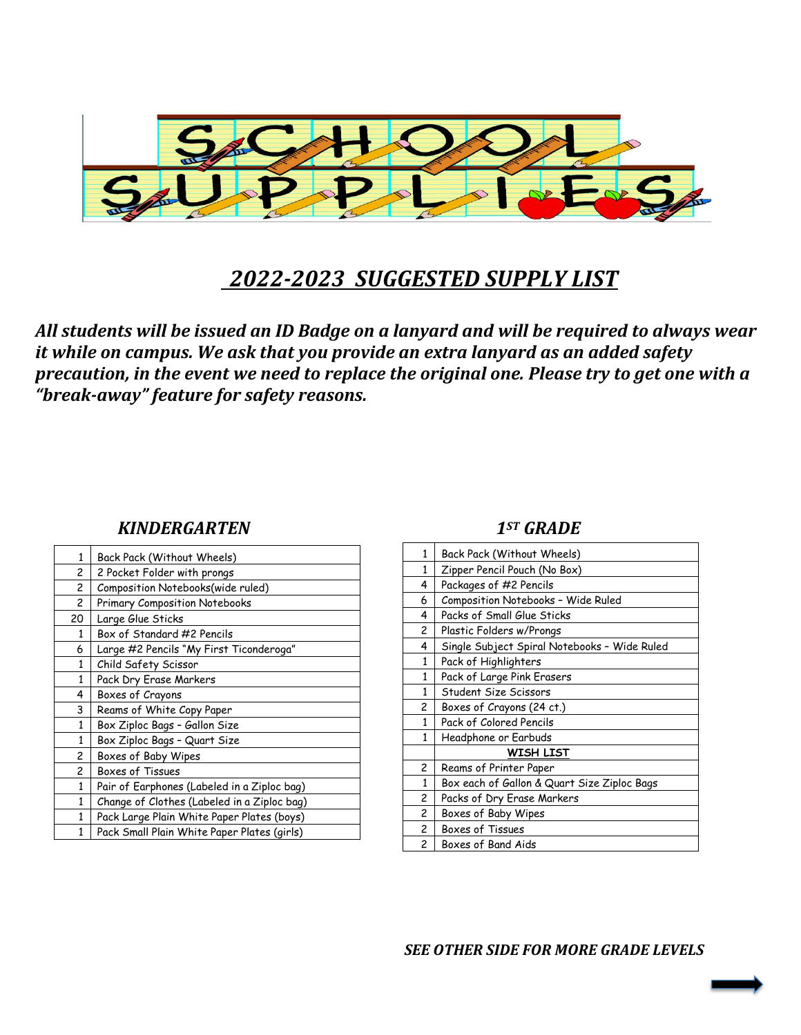

# *2022-2023 SUGGESTED SUPPLY LIST*

*All students will be issued an ID Badge on a lanyard and will be required to always wear it while on campus. We ask that you provide an extra lanyard as an added safety precaution, in the event we need to replace the original one. Please try to get one with a "break-away" feature for safety reasons.* 

### *KINDERGARTEN 1ST GRADE*

| 1            | Back Pack (Without Wheels)                  |
|--------------|---------------------------------------------|
| 2            | 2 Pocket Folder with prongs                 |
| 2            | Composition Notebooks(wide ruled)           |
| 2            | Primary Composition Notebooks               |
| 20           | Large Glue Sticks                           |
| $\mathbf{1}$ | Box of Standard #2 Pencils                  |
| 6            | Large #2 Pencils "My First Ticonderoga"     |
| $\mathbf{1}$ | Child Safety Scissor                        |
| $\mathbf{1}$ | Pack Dry Erase Markers                      |
| 4            | Boxes of Crayons                            |
| 3            | Reams of White Copy Paper                   |
| $\mathbf{1}$ | Box Ziploc Bags - Gallon Size               |
| $\mathbf{1}$ | Box Ziploc Bags - Quart Size                |
| 2            | Boxes of Baby Wipes                         |
| 2            | Boxes of Tissues                            |
| 1            | Pair of Earphones (Labeled in a Ziploc bag) |
| $\mathbf{1}$ | Change of Clothes (Labeled in a Ziploc bag) |
| $\mathbf{1}$ | Pack Large Plain White Paper Plates (boys)  |
| 1            | Pack Small Plain White Paper Plates (girls) |

| 1              | Back Pack (Without Wheels)                   |
|----------------|----------------------------------------------|
| 1              | Zipper Pencil Pouch (No Box)                 |
| 4              | Packages of #2 Pencils                       |
| 6              | Composition Notebooks - Wide Ruled           |
| 4              | Packs of Small Glue Sticks                   |
| 2              | Plastic Folders w/Prongs                     |
| 4              | Single Subject Spiral Notebooks - Wide Ruled |
| 1              | Pack of Highlighters                         |
| 1              | Pack of Large Pink Erasers                   |
| 1              | Student Size Scissors                        |
| 2              | Boxes of Crayons (24 ct.)                    |
| 1              | Pack of Colored Pencils                      |
| 1              | Headphone or Earbuds                         |
|                | WISH LIST                                    |
| 2              | Reams of Printer Paper                       |
| 1              | Box each of Gallon & Quart Size Ziploc Bags  |
| 2              | Packs of Dry Erase Markers                   |
| $\overline{c}$ | Boxes of Baby Wipes                          |
| 2              | Boxes of Tissues                             |
| 2              | Boxes of Band Aids                           |

*SEE OTHER SIDE FOR MORE GRADE LEVELS*